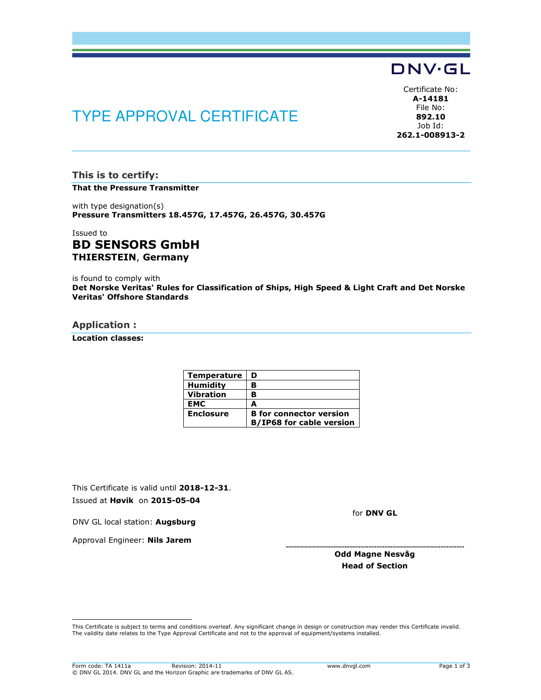## DNV·GL

# TYPE APPROVAL CERTIFICATE

Certificate No: A-14181 File No: 892.10 Job Id: 262.1-008913-2

This is to certify: That the Pressure Transmitter

with type designation(s) Pressure Transmitters 18.457G, 17.457G, 26.457G, 30.457G

### Issued to BD SENSORS GmbH THIERSTEIN, Germany

is found to comply with Det Norske Veritas' Rules for Classification of Ships, High Speed & Light Craft and Det Norske Veritas' Offshore Standards

#### Application :

Location classes:

| Temperature      | D                               |
|------------------|---------------------------------|
| <b>Humidity</b>  | в                               |
| <b>Vibration</b> | в                               |
| <b>EMC</b>       | А                               |
| <b>Enclosure</b> | <b>B</b> for connector version  |
|                  | <b>B/IP68 for cable version</b> |

This Certificate is valid until 2018-12-31. Issued at Høvik on 2015-05-04

for DNV GL

DNV GL local station: Augsburg

Approval Engineer: Nils Jarem

Odd Magne Nesvåg Head of Section

 This Certificate is subject to terms and conditions overleaf. Any significant change in design or construction may render this Certificate invalid. The validity date relates to the Type Approval Certificate and not to the approval of equipment/systems installed.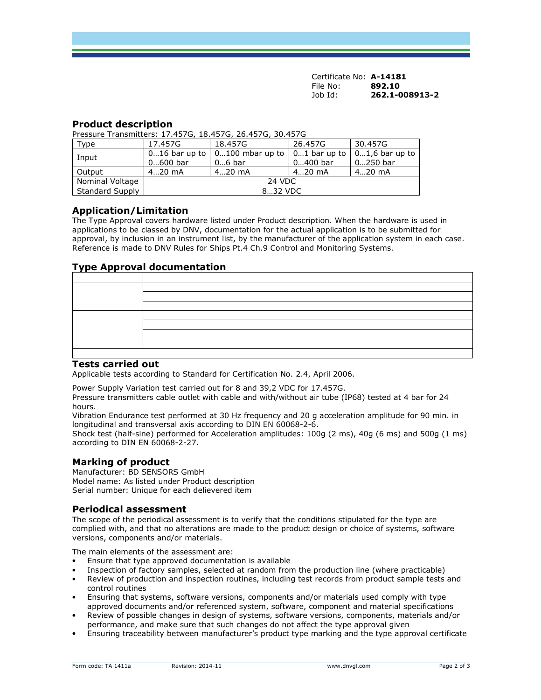Certificate No: A-14181 File No: 892.10<br>Job Id: 262.1-0 Job Id: 262.1-008913-2

#### Product description

Pressure Transmitters: 17.457G, 18.457G, 26.457G, 30.457G

| Type                   | 17.457G    | 18.457G                                                    | 26.457G    | 30.457G                |
|------------------------|------------|------------------------------------------------------------|------------|------------------------|
| Input                  |            | 016 bar up to $\vert$ 0100 mbar up to $\vert$ 01 bar up to |            | $\vert$ 01,6 bar up to |
|                        | $0600$ bar | $06$ bar                                                   | $0400$ bar | 0250 bar               |
| Output                 | $420$ mA   | $420$ mA                                                   | $420$ mA   | $420$ mA               |
| Nominal Voltage        | 24 VDC     |                                                            |            |                        |
| <b>Standard Supply</b> | 832 VDC    |                                                            |            |                        |

#### Application/Limitation

The Type Approval covers hardware listed under Product description. When the hardware is used in applications to be classed by DNV, documentation for the actual application is to be submitted for approval, by inclusion in an instrument list, by the manufacturer of the application system in each case. Reference is made to DNV Rules for Ships Pt.4 Ch.9 Control and Monitoring Systems.

## Type Approval documentation

#### Tests carried out

Applicable tests according to Standard for Certification No. 2.4, April 2006.

Power Supply Variation test carried out for 8 and 39,2 VDC for 17.457G.

Pressure transmitters cable outlet with cable and with/without air tube (IP68) tested at 4 bar for 24 hours.

Vibration Endurance test performed at 30 Hz frequency and 20 g acceleration amplitude for 90 min. in longitudinal and transversal axis according to DIN EN 60068-2-6.

Shock test (half-sine) performed for Acceleration amplitudes: 100g (2 ms), 40g (6 ms) and 500g (1 ms) according to DIN EN 60068-2-27.

#### Marking of product

Manufacturer: BD SENSORS GmbH Model name: As listed under Product description Serial number: Unique for each delievered item

#### Periodical assessment

The scope of the periodical assessment is to verify that the conditions stipulated for the type are complied with, and that no alterations are made to the product design or choice of systems, software versions, components and/or materials.

The main elements of the assessment are:

- Ensure that type approved documentation is available
- Inspection of factory samples, selected at random from the production line (where practicable)
- Review of production and inspection routines, including test records from product sample tests and control routines
- Ensuring that systems, software versions, components and/or materials used comply with type approved documents and/or referenced system, software, component and material specifications
- Review of possible changes in design of systems, software versions, components, materials and/or performance, and make sure that such changes do not affect the type approval given
- Ensuring traceability between manufacturer's product type marking and the type approval certificate